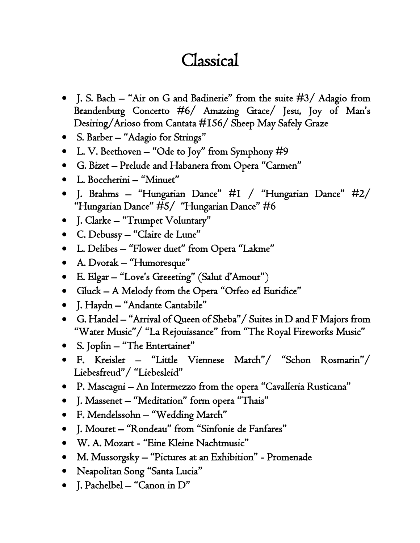## Classical

- J. S. Bach "Air on G and Badinerie" from the suite #3/ Adagio from Brandenburg Concerto #6/ Amazing Grace/ Jesu, Joy of Man's Desiring/Arioso from Cantata #156/ Sheep May Safely Graze
- S. Barber "Adagio for Strings"
- L. V. Beethoven "Ode to Joy" from Symphony  $\#9$
- G. Bizet Prelude and Habanera from Opera "Carmen"
- L. Boccherini "Minuet"
- J. Brahms "Hungarian Dance" #1 / "Hungarian Dance" #2/ "Hungarian Dance" #5/ "Hungarian Dance" #6
- J. Clarke "Trumpet Voluntary"
- C. Debussy "Claire de Lune"
- L. Delibes "Flower duet" from Opera "Lakme"
- A. Dvorak "Humoresque"
- E. Elgar "Love's Greeeting" (Salut d'Amour")
- Gluck A Melody from the Opera "Orfeo ed Euridice"
- J. Haydn "Andante Cantabile"
- G. Handel "Arrival of Queen of Sheba"/ Suites in D and F Majors from "Water Music"/ "La Rejouissance" from "The Royal Fireworks Music"
- S. Joplin "The Entertainer"
- F. Kreisler "Little Viennese March"/ "Schon Rosmarin"/ Liebesfreud"/ "Liebesleid"
- P. Mascagni An Intermezzo from the opera "Cavalleria Rusticana"
- J. Massenet "Meditation" form opera "Thais"
- F. Mendelssohn "Wedding March"
- J. Mouret "Rondeau" from "Sinfonie de Fanfares"
- W. A. Mozart "Eine Kleine Nachtmusic"
- M. Mussorgsky "Pictures at an Exhibition" Promenade
- Neapolitan Song "Santa Lucia"
- J. Pachelbel "Canon in D"